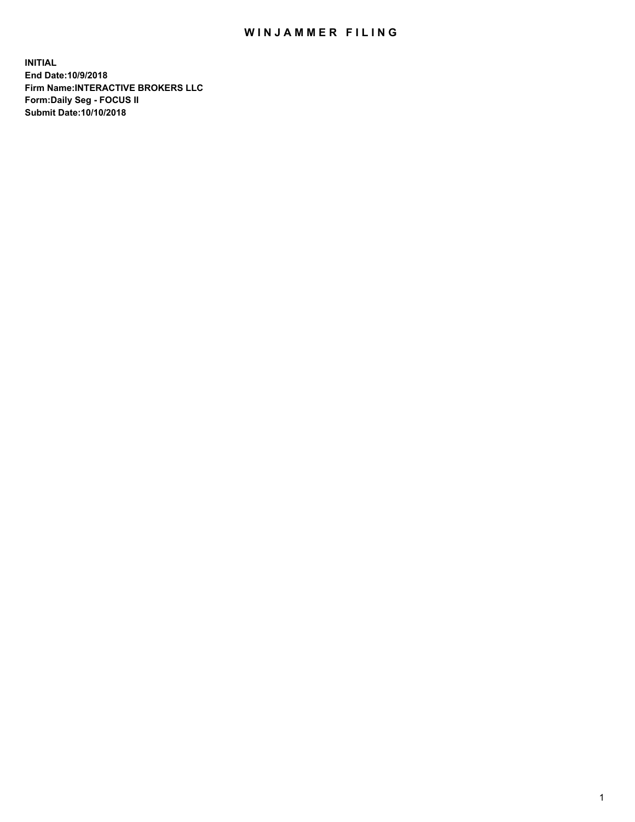## WIN JAMMER FILING

**INITIAL End Date:10/9/2018 Firm Name:INTERACTIVE BROKERS LLC Form:Daily Seg - FOCUS II Submit Date:10/10/2018**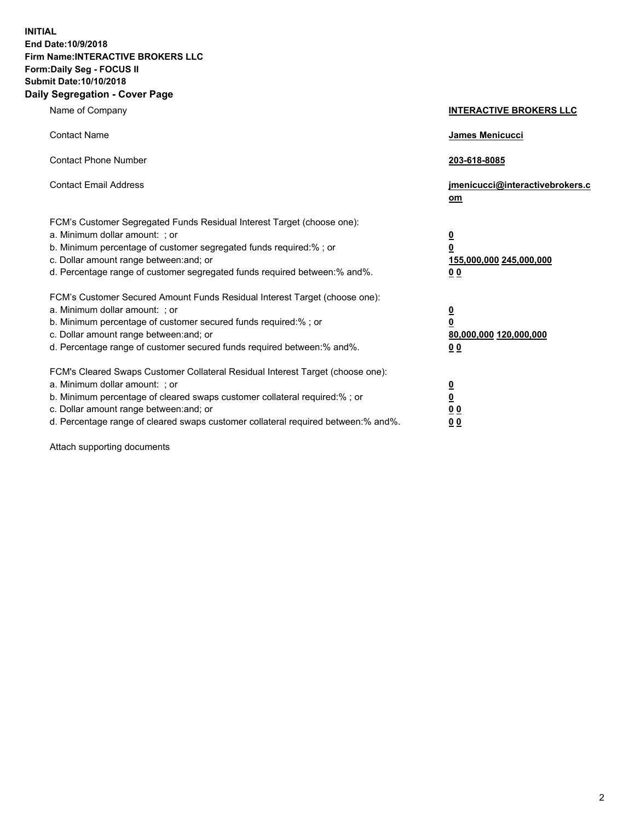**INITIAL End Date:10/9/2018 Firm Name:INTERACTIVE BROKERS LLC Form:Daily Seg - FOCUS II Submit Date:10/10/2018 Daily Segregation - Cover Page**

| Name of Company                                                                                                                                                                                                                                                                                                                | <b>INTERACTIVE BROKERS LLC</b>                                                                           |
|--------------------------------------------------------------------------------------------------------------------------------------------------------------------------------------------------------------------------------------------------------------------------------------------------------------------------------|----------------------------------------------------------------------------------------------------------|
| <b>Contact Name</b>                                                                                                                                                                                                                                                                                                            | James Menicucci                                                                                          |
| <b>Contact Phone Number</b>                                                                                                                                                                                                                                                                                                    | 203-618-8085                                                                                             |
| <b>Contact Email Address</b>                                                                                                                                                                                                                                                                                                   | jmenicucci@interactivebrokers.c<br>om                                                                    |
| FCM's Customer Segregated Funds Residual Interest Target (choose one):<br>a. Minimum dollar amount: ; or<br>b. Minimum percentage of customer segregated funds required:% ; or<br>c. Dollar amount range between: and; or<br>d. Percentage range of customer segregated funds required between:% and%.                         | $\overline{\mathbf{0}}$<br>$\overline{\mathbf{0}}$<br>155,000,000 245,000,000<br>0 <sub>0</sub>          |
| FCM's Customer Secured Amount Funds Residual Interest Target (choose one):<br>a. Minimum dollar amount: ; or<br>b. Minimum percentage of customer secured funds required:%; or<br>c. Dollar amount range between: and; or<br>d. Percentage range of customer secured funds required between:% and%.                            | $\overline{\mathbf{0}}$<br>$\overline{\mathbf{0}}$<br>80,000,000 120,000,000<br>00                       |
| FCM's Cleared Swaps Customer Collateral Residual Interest Target (choose one):<br>a. Minimum dollar amount: ; or<br>b. Minimum percentage of cleared swaps customer collateral required:% ; or<br>c. Dollar amount range between: and; or<br>d. Percentage range of cleared swaps customer collateral required between:% and%. | $\overline{\mathbf{0}}$<br>$\underline{\mathbf{0}}$<br>$\underline{0}$ $\underline{0}$<br>0 <sub>0</sub> |

Attach supporting documents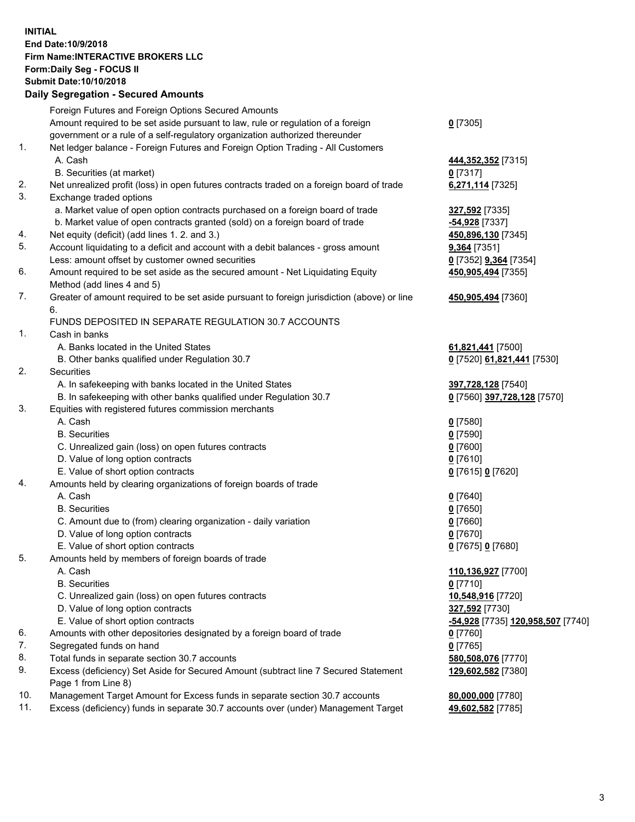## **INITIAL End Date:10/9/2018 Firm Name:INTERACTIVE BROKERS LLC Form:Daily Seg - FOCUS II Submit Date:10/10/2018 Daily Segregation - Secured Amounts**

|            | Daily Segregation - Secured Amounts                                                         |                                   |
|------------|---------------------------------------------------------------------------------------------|-----------------------------------|
|            | Foreign Futures and Foreign Options Secured Amounts                                         |                                   |
|            | Amount required to be set aside pursuant to law, rule or regulation of a foreign            | $0$ [7305]                        |
|            | government or a rule of a self-regulatory organization authorized thereunder                |                                   |
| 1.         | Net ledger balance - Foreign Futures and Foreign Option Trading - All Customers             |                                   |
|            | A. Cash                                                                                     | 444, 352, 352 [7315]              |
|            | B. Securities (at market)                                                                   | $0$ [7317]                        |
| 2.         | Net unrealized profit (loss) in open futures contracts traded on a foreign board of trade   | 6,271,114 [7325]                  |
| 3.         | Exchange traded options                                                                     |                                   |
|            | a. Market value of open option contracts purchased on a foreign board of trade              | 327,592 [7335]                    |
|            | b. Market value of open contracts granted (sold) on a foreign board of trade                | -54,928 [7337]                    |
| 4.         | Net equity (deficit) (add lines 1. 2. and 3.)                                               | 450,896,130 [7345]                |
| 5.         | Account liquidating to a deficit and account with a debit balances - gross amount           | 9,364 [7351]                      |
|            | Less: amount offset by customer owned securities                                            | 0 [7352] 9,364 [7354]             |
| 6.         | Amount required to be set aside as the secured amount - Net Liquidating Equity              | 450,905,494 [7355]                |
|            | Method (add lines 4 and 5)                                                                  |                                   |
| 7.         | Greater of amount required to be set aside pursuant to foreign jurisdiction (above) or line | 450,905,494 [7360]                |
|            | 6.                                                                                          |                                   |
|            | FUNDS DEPOSITED IN SEPARATE REGULATION 30.7 ACCOUNTS                                        |                                   |
| 1.         | Cash in banks                                                                               |                                   |
|            | A. Banks located in the United States                                                       | 61,821,441 [7500]                 |
|            | B. Other banks qualified under Regulation 30.7                                              | 0 [7520] 61,821,441 [7530]        |
| 2.         | Securities                                                                                  |                                   |
|            | A. In safekeeping with banks located in the United States                                   | 397,728,128 [7540]                |
|            | B. In safekeeping with other banks qualified under Regulation 30.7                          | 0 [7560] 397,728,128 [7570]       |
| 3.         | Equities with registered futures commission merchants                                       |                                   |
|            | A. Cash                                                                                     | $0$ [7580]                        |
|            | <b>B.</b> Securities                                                                        | $0$ [7590]                        |
|            | C. Unrealized gain (loss) on open futures contracts                                         | $0$ [7600]                        |
|            | D. Value of long option contracts                                                           | $0$ [7610]                        |
|            | E. Value of short option contracts                                                          | 0 [7615] 0 [7620]                 |
| 4.         | Amounts held by clearing organizations of foreign boards of trade                           |                                   |
|            | A. Cash                                                                                     | $0$ [7640]                        |
|            | <b>B.</b> Securities                                                                        | $0$ [7650]                        |
|            | C. Amount due to (from) clearing organization - daily variation                             | $0$ [7660]                        |
|            | D. Value of long option contracts                                                           | $0$ [7670]                        |
|            | E. Value of short option contracts                                                          | 0 [7675] 0 [7680]                 |
| 5.         | Amounts held by members of foreign boards of trade                                          |                                   |
|            | A. Cash                                                                                     | 110,136,927 [7700]                |
|            | <b>B.</b> Securities                                                                        | $0$ [7710]                        |
|            | C. Unrealized gain (loss) on open futures contracts                                         | 10,548,916 [7720]                 |
|            | D. Value of long option contracts                                                           | 327,592 [7730]                    |
|            | E. Value of short option contracts                                                          | -54,928 [7735] 120,958,507 [7740] |
| 6.         | Amounts with other depositories designated by a foreign board of trade                      | 0 [7760]                          |
| 7.         | Segregated funds on hand                                                                    | $0$ [7765]                        |
| 8.         | Total funds in separate section 30.7 accounts                                               | 580,508,076 [7770]                |
| 9.         | Excess (deficiency) Set Aside for Secured Amount (subtract line 7 Secured Statement         | 129,602,582 [7380]                |
|            | Page 1 from Line 8)                                                                         |                                   |
| 10.<br>11. | Management Target Amount for Excess funds in separate section 30.7 accounts                 | 80,000,000 [7780]                 |
|            | Excess (deficiency) funds in separate 30.7 accounts over (under) Management Target          | 49,602,582 [7785]                 |
|            |                                                                                             |                                   |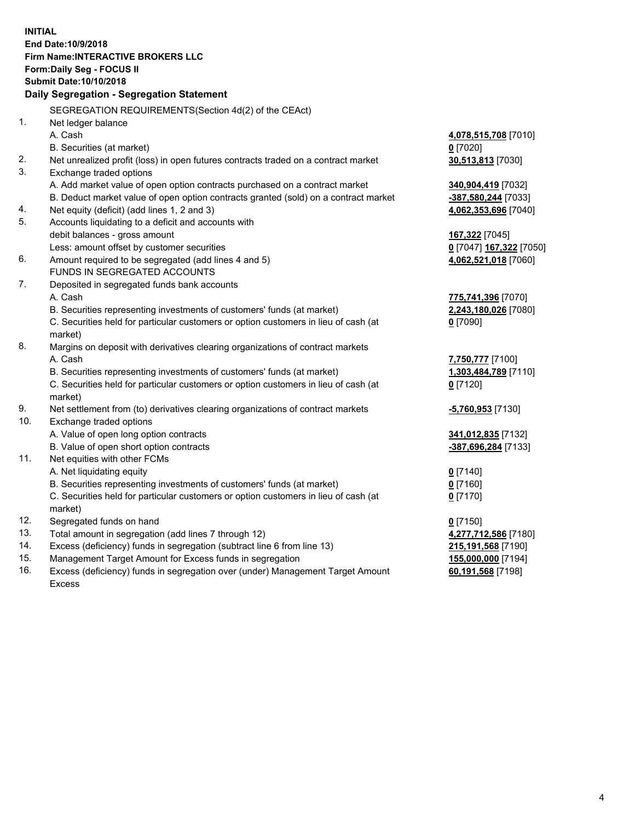**INITIAL End Date:10/9/2018 Firm Name:INTERACTIVE BROKERS LLC Form:Daily Seg - FOCUS II Submit Date:10/10/2018 Daily Segregation - Segregation Statement** SEGREGATION REQUIREMENTS(Section 4d(2) of the CEAct) 1. Net ledger balance A. Cash **4,078,515,708** [7010] B. Securities (at market) **0** [7020] 2. Net unrealized profit (loss) in open futures contracts traded on a contract market **30,513,813** [7030] 3. Exchange traded options A. Add market value of open option contracts purchased on a contract market **340,904,419** [7032] B. Deduct market value of open option contracts granted (sold) on a contract market **-387,580,244** [7033] 4. Net equity (deficit) (add lines 1, 2 and 3) **4,062,353,696** [7040] 5. Accounts liquidating to a deficit and accounts with debit balances - gross amount **167,322** [7045] Less: amount offset by customer securities **0** [7047] **167,322** [7050] 6. Amount required to be segregated (add lines 4 and 5) **4,062,521,018** [7060] FUNDS IN SEGREGATED ACCOUNTS 7. Deposited in segregated funds bank accounts A. Cash **775,741,396** [7070] B. Securities representing investments of customers' funds (at market) **2,243,180,026** [7080] C. Securities held for particular customers or option customers in lieu of cash (at market) **0** [7090] 8. Margins on deposit with derivatives clearing organizations of contract markets A. Cash **7,750,777** [7100] B. Securities representing investments of customers' funds (at market) **1,303,484,789** [7110] C. Securities held for particular customers or option customers in lieu of cash (at market) **0** [7120] 9. Net settlement from (to) derivatives clearing organizations of contract markets **-5,760,953** [7130] 10. Exchange traded options A. Value of open long option contracts **341,012,835** [7132] B. Value of open short option contracts **-387,696,284** [7133] 11. Net equities with other FCMs A. Net liquidating equity **0** [7140] B. Securities representing investments of customers' funds (at market) **0** [7160] C. Securities held for particular customers or option customers in lieu of cash (at market) **0** [7170] 12. Segregated funds on hand **0** [7150] 13. Total amount in segregation (add lines 7 through 12) **4,277,712,586** [7180] 14. Excess (deficiency) funds in segregation (subtract line 6 from line 13) **215,191,568** [7190] 15. Management Target Amount for Excess funds in segregation **155,000,000** [7194]

16. Excess (deficiency) funds in segregation over (under) Management Target Amount Excess

**60,191,568** [7198]